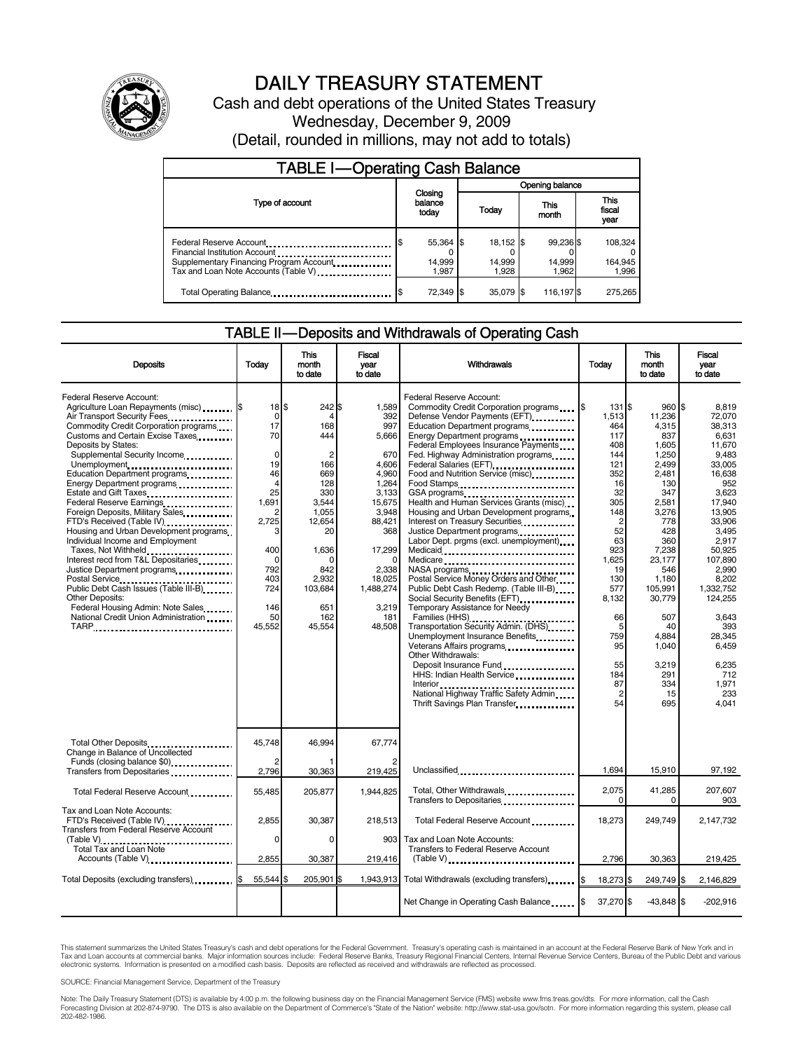

# DAILY TREASURY STATEMENT

Cash and debt operations of the United States Treasury Wednesday, December 9, 2009 (Detail, rounded in millions, may not add to totals)

| <b>TABLE I-Operating Cash Balance</b>                                                                                                        |                              |                              |                              |                             |  |
|----------------------------------------------------------------------------------------------------------------------------------------------|------------------------------|------------------------------|------------------------------|-----------------------------|--|
|                                                                                                                                              | Opening balance              |                              |                              |                             |  |
| Type of account                                                                                                                              | Closing<br>balance<br>today  | Today                        | This<br>month                | This<br>fiscal<br>year      |  |
| Federal Reserve Account<br>Financial Institution Account<br>Supplementary Financing Program Account.<br>Tax and Loan Note Accounts (Table V) | 55,364 \$<br>14,999<br>1.987 | 18,152 \$<br>14,999<br>1.928 | 99,236 \$<br>14,999<br>1.962 | 108,324<br>164,945<br>1,996 |  |
| Total Operating Balance                                                                                                                      | 72,349 \$                    | 35.079 \$                    | 116,197 \$                   | 275,265                     |  |

### TABLE II — Deposits and Withdrawals of Operating Cash

| <b>Deposits</b>                                                                                                                                                                                                                                                                                                                                                                                                                                                                                                                                                                                                                                                                                                                                 | Todav                                                                                                                                                                                          | This<br>month<br>to date                                                                                                                                                   | <b>Fiscal</b><br>year<br>to date                                                                                                                                                     | Withdrawals                                                                                                                                                                                                                                                                                                                                                                                                                                                                                                                                                                                                                                                                                                                                                                                                                                                                                                                                                                                                                                                                                                                                                                                                                  | Todav                                                                                                                                                                                                                | <b>This</b><br>month<br>to date                                                                                                                                                                                                                      | <b>Fiscal</b><br>vear<br>to date                                                                                                                                                                                                                                                     |
|-------------------------------------------------------------------------------------------------------------------------------------------------------------------------------------------------------------------------------------------------------------------------------------------------------------------------------------------------------------------------------------------------------------------------------------------------------------------------------------------------------------------------------------------------------------------------------------------------------------------------------------------------------------------------------------------------------------------------------------------------|------------------------------------------------------------------------------------------------------------------------------------------------------------------------------------------------|----------------------------------------------------------------------------------------------------------------------------------------------------------------------------|--------------------------------------------------------------------------------------------------------------------------------------------------------------------------------------|------------------------------------------------------------------------------------------------------------------------------------------------------------------------------------------------------------------------------------------------------------------------------------------------------------------------------------------------------------------------------------------------------------------------------------------------------------------------------------------------------------------------------------------------------------------------------------------------------------------------------------------------------------------------------------------------------------------------------------------------------------------------------------------------------------------------------------------------------------------------------------------------------------------------------------------------------------------------------------------------------------------------------------------------------------------------------------------------------------------------------------------------------------------------------------------------------------------------------|----------------------------------------------------------------------------------------------------------------------------------------------------------------------------------------------------------------------|------------------------------------------------------------------------------------------------------------------------------------------------------------------------------------------------------------------------------------------------------|--------------------------------------------------------------------------------------------------------------------------------------------------------------------------------------------------------------------------------------------------------------------------------------|
| Federal Reserve Account:<br>Agriculture Loan Repayments (misc) [\$<br>Air Transport Security Fees<br>Commodity Credit Corporation programs<br>Customs and Certain Excise Taxes<br>Deposits by States:<br>Supplemental Security Income<br>Unemployment<br>Education Department programs<br>Energy Department programs<br>Estate and Gift Taxes<br>Federal Reserve Earnings<br>Foreign Deposits, Military Sales<br>FTD's Received (Table IV)<br>Housing and Urban Development programs<br>Individual Income and Employment<br>Taxes, Not Withheld<br>Interest recd from T&L Depositaries<br>Public Debt Cash Issues (Table III-B).<br><b>Other Deposits:</b><br>Federal Housing Admin: Note Sales<br>National Credit Union Administration<br>TARP | $18$ $\frac{1}{3}$<br>$\mathbf 0$<br>17<br>70<br>$\mathbf 0$<br>19<br>46<br>$\overline{4}$<br>25<br>1,691<br>2<br>2,725<br>3<br>400<br>$\mathbf 0$<br>792<br>403<br>724<br>146<br>50<br>45.552 | 242 \$<br>4<br>168<br>444<br>$\overline{2}$<br>166<br>669<br>128<br>330<br>3.544<br>1.055<br>12,654<br>20<br>1.636<br>O<br>842<br>2.932<br>103,684<br>651<br>162<br>45.554 | 1,589<br>392<br>997<br>5.666<br>670<br>4.606<br>4.960<br>1,264<br>3,133<br>15,675<br>3.948<br>88,421<br>368<br>17,299<br>0<br>2,338<br>18.025<br>1,488,274<br>3,219<br>181<br>48.508 | Federal Reserve Account:<br>Commodity Credit Corporation programs \6<br>Defense Vendor Payments (EFT)<br>Education Department programs<br>Energy Department programs<br>Federal Employees Insurance Payments<br>Fed. Highway Administration programs<br>Federal Salaries (EFT)<br>1991 - Production Contract Contract Contract Contract Contract Contract Contract Contract Contract Contract Contract Contract Contract Contract Contract Contract Contract Contract Contract Contract<br>Food and Nutrition Service (misc)<br>Food Stamps<br>GSA programs<br>Health and Human Services Grants (misc)<br>Housing and Urban Development programs.<br>Interest on Treasury Securities<br>Justice Department programs<br>Labor Dept. prgms (excl. unemployment)<br>Medicaid<br>Medicare<br>NASA programs<br>Postal Service Money Orders and Other<br>Public Debt Cash Redemp. (Table III-B)<br>Social Security Benefits (EFT)<br>Temporary Assistance for Needy<br>Transportation Security Admin. (DHS)<br>Unemployment Insurance Benefits<br>Veterans Affairs programs<br>Other Withdrawals:<br>Deposit Insurance Fund<br>HHS: Indian Health Service<br>National Highway Traffic Safety Admin<br>Thrift Savings Plan Transfer | 131 \$<br>1,513<br>464<br>117<br>408<br>144<br>121<br>352<br>16<br>32<br>305<br>148<br>2<br>52<br>63<br>923<br>1.625<br>19<br>130<br>577<br>8.132<br>66<br>5<br>759<br>95<br>55<br>184<br>87<br>$\overline{2}$<br>54 | 960 \$<br>11.236<br>4,315<br>837<br>1,605<br>1,250<br>2.499<br>2.481<br>130<br>347<br>2.581<br>3.276<br>778<br>428<br>360<br>7.238<br>23.177<br>546<br>1.180<br>105.991<br>30.779<br>507<br>40<br>4.884<br>1,040<br>3,219<br>291<br>334<br>15<br>695 | 8.819<br>72.070<br>38.313<br>6.631<br>11,670<br>9.483<br>33.005<br>16.638<br>952<br>3.623<br>17.940<br>13.905<br>33,906<br>3.495<br>2.917<br>50.925<br>107.890<br>2.990<br>8.202<br>1.332.752<br>124.255<br>3.643<br>393<br>28.345<br>6,459<br>6.235<br>712<br>1,971<br>233<br>4.041 |
| Total Other Deposits<br>Change in Balance of Uncollected<br>Funds (closing balance \$0)<br>Transfers from Depositaries                                                                                                                                                                                                                                                                                                                                                                                                                                                                                                                                                                                                                          | 45,748<br>2,796                                                                                                                                                                                | 46,994<br>30,363                                                                                                                                                           | 67,774<br>219,425                                                                                                                                                                    | Unclassified                                                                                                                                                                                                                                                                                                                                                                                                                                                                                                                                                                                                                                                                                                                                                                                                                                                                                                                                                                                                                                                                                                                                                                                                                 | 1,694                                                                                                                                                                                                                | 15,910                                                                                                                                                                                                                                               | 97,192                                                                                                                                                                                                                                                                               |
| Total Federal Reserve Account                                                                                                                                                                                                                                                                                                                                                                                                                                                                                                                                                                                                                                                                                                                   | 55,485                                                                                                                                                                                         | 205.877                                                                                                                                                                    | 1.944.825                                                                                                                                                                            | Total, Other Withdrawals.<br>Transfers to Depositaries <b>Constant Constant of Transfers</b>                                                                                                                                                                                                                                                                                                                                                                                                                                                                                                                                                                                                                                                                                                                                                                                                                                                                                                                                                                                                                                                                                                                                 | 2,075<br>$\Omega$                                                                                                                                                                                                    | 41,285<br>$\Omega$                                                                                                                                                                                                                                   | 207,607<br>903                                                                                                                                                                                                                                                                       |
| Tax and Loan Note Accounts:<br>FTD's Received (Table IV)<br><b>Transfers from Federal Reserve Account</b><br>Total Tax and Loan Note                                                                                                                                                                                                                                                                                                                                                                                                                                                                                                                                                                                                            | 2,855<br>0                                                                                                                                                                                     | 30,387<br>0                                                                                                                                                                | 218,513<br>903                                                                                                                                                                       | Total Federal Reserve Account<br>Tax and Loan Note Accounts:<br><b>Transfers to Federal Reserve Account</b>                                                                                                                                                                                                                                                                                                                                                                                                                                                                                                                                                                                                                                                                                                                                                                                                                                                                                                                                                                                                                                                                                                                  | 18,273                                                                                                                                                                                                               | 249.749                                                                                                                                                                                                                                              | 2,147,732                                                                                                                                                                                                                                                                            |
| Accounts (Table V)                                                                                                                                                                                                                                                                                                                                                                                                                                                                                                                                                                                                                                                                                                                              | 2,855                                                                                                                                                                                          | 30,387                                                                                                                                                                     | 219,416                                                                                                                                                                              | $(Table V)$                                                                                                                                                                                                                                                                                                                                                                                                                                                                                                                                                                                                                                                                                                                                                                                                                                                                                                                                                                                                                                                                                                                                                                                                                  | 2,796                                                                                                                                                                                                                | 30,363                                                                                                                                                                                                                                               | 219,425                                                                                                                                                                                                                                                                              |
| Total Deposits (excluding transfers) [\$                                                                                                                                                                                                                                                                                                                                                                                                                                                                                                                                                                                                                                                                                                        | 55,544 \$                                                                                                                                                                                      | 205,901 \$                                                                                                                                                                 | 1,943,913                                                                                                                                                                            | Total Withdrawals (excluding transfers) [\$                                                                                                                                                                                                                                                                                                                                                                                                                                                                                                                                                                                                                                                                                                                                                                                                                                                                                                                                                                                                                                                                                                                                                                                  | 18,273 \$                                                                                                                                                                                                            | 249,749 \$                                                                                                                                                                                                                                           | 2,146,829                                                                                                                                                                                                                                                                            |
|                                                                                                                                                                                                                                                                                                                                                                                                                                                                                                                                                                                                                                                                                                                                                 |                                                                                                                                                                                                |                                                                                                                                                                            |                                                                                                                                                                                      | Net Change in Operating Cash Balance                                                                                                                                                                                                                                                                                                                                                                                                                                                                                                                                                                                                                                                                                                                                                                                                                                                                                                                                                                                                                                                                                                                                                                                         | 37,270 \$                                                                                                                                                                                                            | $-43,848$ \$                                                                                                                                                                                                                                         | $-202,916$                                                                                                                                                                                                                                                                           |

This statement summarizes the United States Treasury's cash and debt operations for the Federal Government. Treasury's operating cash is maintained in an account at the Federal Reserve Bank of New York and in<br>Tax and Loan

SOURCE: Financial Management Service, Department of the Treasury

Note: The Daily Treasury Statement (DTS) is available by 4:00 p.m. the following business day on the Financial Management Service (FMS) website www.fms.treas.gov/dts. For more information, call the Cash<br>Forecasting Divisio